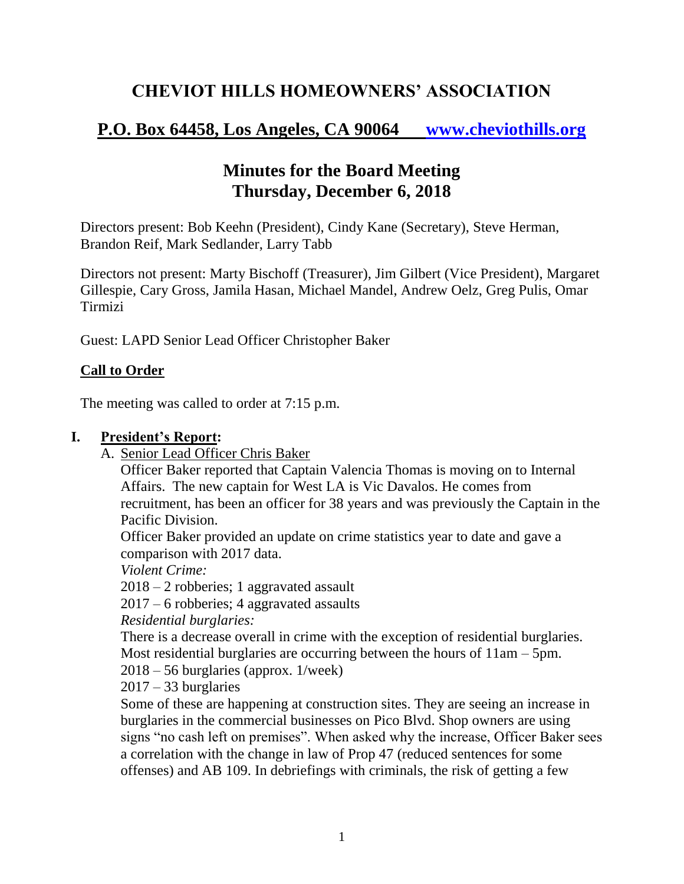# **CHEVIOT HILLS HOMEOWNERS' ASSOCIATION**

# **P.O. Box 64458, Los Angeles, CA 90064 [www.cheviothills.org](http://www.cheviothills.org/)**

# **Minutes for the Board Meeting Thursday, December 6, 2018**

Directors present: Bob Keehn (President), Cindy Kane (Secretary), Steve Herman, Brandon Reif, Mark Sedlander, Larry Tabb

Directors not present: Marty Bischoff (Treasurer), Jim Gilbert (Vice President), Margaret Gillespie, Cary Gross, Jamila Hasan, Michael Mandel, Andrew Oelz, Greg Pulis, Omar Tirmizi

Guest: LAPD Senior Lead Officer Christopher Baker

## **Call to Order**

The meeting was called to order at 7:15 p.m.

### **I. President's Report:**

A. Senior Lead Officer Chris Baker

Officer Baker reported that Captain Valencia Thomas is moving on to Internal Affairs. The new captain for West LA is Vic Davalos. He comes from recruitment, has been an officer for 38 years and was previously the Captain in the Pacific Division.

Officer Baker provided an update on crime statistics year to date and gave a comparison with 2017 data.

*Violent Crime:*

2018 – 2 robberies; 1 aggravated assault

2017 – 6 robberies; 4 aggravated assaults

*Residential burglaries:*

There is a decrease overall in crime with the exception of residential burglaries. Most residential burglaries are occurring between the hours of 11am – 5pm.

2018 – 56 burglaries (approx. 1/week)

 $2017 - 33$  burglaries

Some of these are happening at construction sites. They are seeing an increase in burglaries in the commercial businesses on Pico Blvd. Shop owners are using signs "no cash left on premises". When asked why the increase, Officer Baker sees a correlation with the change in law of Prop 47 (reduced sentences for some offenses) and AB 109. In debriefings with criminals, the risk of getting a few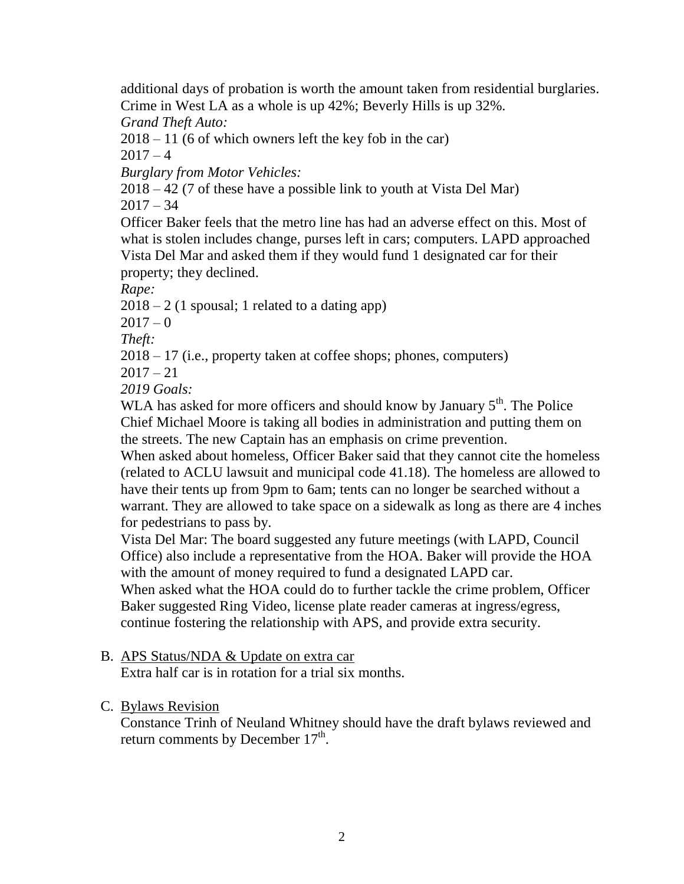additional days of probation is worth the amount taken from residential burglaries. Crime in West LA as a whole is up 42%; Beverly Hills is up 32%.

*Grand Theft Auto:*

 $2018 - 11$  (6 of which owners left the key fob in the car)

 $2017 - 4$ 

*Burglary from Motor Vehicles:*

2018 – 42 (7 of these have a possible link to youth at Vista Del Mar)

 $2017 - 34$ 

Officer Baker feels that the metro line has had an adverse effect on this. Most of what is stolen includes change, purses left in cars; computers. LAPD approached Vista Del Mar and asked them if they would fund 1 designated car for their property; they declined.

*Rape:*

 $2018 - 2(1 \text{ spousal}; 1 \text{ related to a dating app})$ 

 $2017 - 0$ 

*Theft:*

2018 – 17 (i.e., property taken at coffee shops; phones, computers)

 $2017 - 21$ 

*2019 Goals:*

WLA has asked for more officers and should know by January  $5<sup>th</sup>$ . The Police Chief Michael Moore is taking all bodies in administration and putting them on the streets. The new Captain has an emphasis on crime prevention.

When asked about homeless, Officer Baker said that they cannot cite the homeless (related to ACLU lawsuit and municipal code 41.18). The homeless are allowed to have their tents up from 9pm to 6am; tents can no longer be searched without a warrant. They are allowed to take space on a sidewalk as long as there are 4 inches for pedestrians to pass by.

Vista Del Mar: The board suggested any future meetings (with LAPD, Council Office) also include a representative from the HOA. Baker will provide the HOA with the amount of money required to fund a designated LAPD car.

When asked what the HOA could do to further tackle the crime problem, Officer Baker suggested Ring Video, license plate reader cameras at ingress/egress, continue fostering the relationship with APS, and provide extra security.

## B. APS Status/NDA & Update on extra car

Extra half car is in rotation for a trial six months.

## C. Bylaws Revision

Constance Trinh of Neuland Whitney should have the draft bylaws reviewed and return comments by December  $17<sup>th</sup>$ .